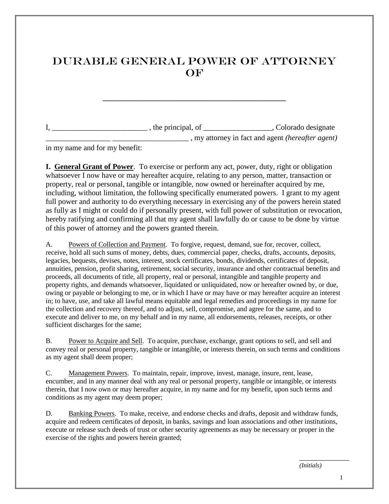## DURABLE GENERAL POWER OF ATTORNEY **OF**

 $I, \_\_\_\_\_\_\_$ , the principal, of  $\_\_\_\_\_\_\_$ , Colorado designate \_\_\_\_\_\_\_\_\_\_\_\_\_\_\_\_\_ \_\_\_\_\_\_\_\_\_\_\_\_\_\_\_\_\_\_\_\_ , my attorney in fact and agent *(hereafter agent)*

in my name and for my benefit:

**I. General Grant of Power**. To exercise or perform any act, power, duty, right or obligation whatsoever I now have or may hereafter acquire, relating to any person, matter, transaction or property, real or personal, tangible or intangible, now owned or hereinafter acquired by me, including, without limitation, the following specifically enumerated powers. I grant to my agent full power and authority to do everything necessary in exercising any of the powers herein stated as fully as I might or could do if personally present, with full power of substitution or revocation, hereby ratifying and confirming all that my agent shall lawfully do or cause to be done by virtue of this power of attorney and the powers granted therein.

A. Powers of Collection and Payment. To forgive, request, demand, sue for, recover, collect, receive, hold all such sums of money, debts, dues, commercial paper, checks, drafts, accounts, deposits, legacies, bequests, devises, notes, interest, stock certificates, bonds, dividends, certificates of deposit, annuities, pension, profit sharing, retirement, social security, insurance and other contractual benefits and proceeds, all documents of title, all property, real or personal, intangible and tangible property and property rights, and demands whatsoever, liquidated or unliquidated, now or hereafter owned by, or due, owing or payable or belonging to me, or in which I have or may have or may hereafter acquire an interest in; to have, use, and take all lawful means equitable and legal remedies and proceedings in my name for the collection and recovery thereof, and to adjust, sell, compromise, and agree for the same, and to execute and deliver to me, on my behalf and in my name, all endorsements, releases, receipts, or other sufficient discharges for the same;

B. Power to Acquire and Sell. To acquire, purchase, exchange, grant options to sell, and sell and convey real or personal property, tangible or intangible, or interests therein, on such terms and conditions as my agent shall deem proper;

C. Management Powers. To maintain, repair, improve, invest, manage, insure, rent, lease, encumber, and in any manner deal with any real or personal property, tangible or intangible, or interests therein, that I now own or may hereafter acquire, in my name and for my benefit, upon such terms and conditions as my agent may deem proper;

D. Banking Powers. To make, receive, and endorse checks and drafts, deposit and withdraw funds, acquire and redeem certificates of deposit, in banks, savings and loan associations and other institutions, execute or release such deeds of trust or other security agreements as may be necessary or proper in the exercise of the rights and powers herein granted;

*(Initials)*

 $\overline{\phantom{a}}$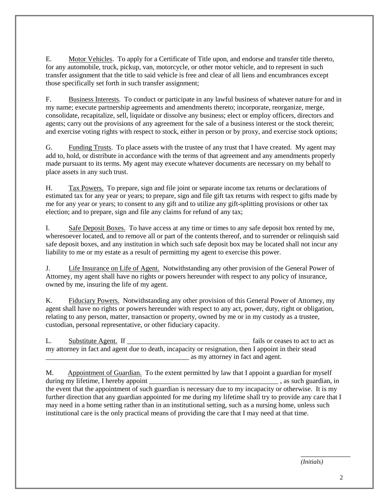E. Motor Vehicles. To apply for a Certificate of Title upon, and endorse and transfer title thereto, for any automobile, truck, pickup, van, motorcycle, or other motor vehicle, and to represent in such transfer assignment that the title to said vehicle is free and clear of all liens and encumbrances except those specifically set forth in such transfer assignment;

F. Business Interests. To conduct or participate in any lawful business of whatever nature for and in my name; execute partnership agreements and amendments thereto; incorporate, reorganize, merge, consolidate, recapitalize, sell, liquidate or dissolve any business; elect or employ officers, directors and agents; carry out the provisions of any agreement for the sale of a business interest or the stock therein; and exercise voting rights with respect to stock, either in person or by proxy, and exercise stock options;

G. Funding Trusts. To place assets with the trustee of any trust that I have created. My agent may add to, hold, or distribute in accordance with the terms of that agreement and any amendments properly made pursuant to its terms. My agent may execute whatever documents are necessary on my behalf to place assets in any such trust.

H. Tax Powers. To prepare, sign and file joint or separate income tax returns or declarations of estimated tax for any year or years; to prepare, sign and file gift tax returns with respect to gifts made by me for any year or years; to consent to any gift and to utilize any gift-splitting provisions or other tax election; and to prepare, sign and file any claims for refund of any tax;

I. Safe Deposit Boxes. To have access at any time or times to any safe deposit box rented by me, wheresoever located, and to remove all or part of the contents thereof, and to surrender or relinquish said safe deposit boxes, and any institution in which such safe deposit box may be located shall not incur any liability to me or my estate as a result of permitting my agent to exercise this power.

J. Life Insurance on Life of Agent. Notwithstanding any other provision of the General Power of Attorney, my agent shall have no rights or powers hereunder with respect to any policy of insurance, owned by me, insuring the life of my agent.

K. Fiduciary Powers. Notwithstanding any other provision of this General Power of Attorney, my agent shall have no rights or powers hereunder with respect to any act, power, duty, right or obligation, relating to any person, matter, transaction or property, owned by me or in my custody as a trustee, custodian, personal representative, or other fiduciary capacity.

L. Substitute Agent. If all some cases to act to act as substitute Agent. If all some cases to act to act as my attorney in fact and agent due to death, incapacity or resignation, then I appoint in their stead \_\_\_\_\_\_\_\_\_\_\_\_\_\_\_\_\_\_\_\_\_\_\_\_\_\_\_\_\_\_\_\_\_\_\_\_\_\_\_\_\_ as my attorney in fact and agent.

M. Appointment of Guardian. To the extent permitted by law that I appoint a guardian for myself during my lifetime, I hereby appoint example of the state of the state of the state state of the state of the state of the state of the state of the state of the state of the state of the state of the state of the state of the event that the appointment of such guardian is necessary due to my incapacity or otherwise. It is my further direction that any guardian appointed for me during my lifetime shall try to provide any care that I may need in a home setting rather than in an institutional setting, such as a nursing home, unless such institutional care is the only practical means of providing the care that I may need at that time.

*(Initials)*

 $\overline{\phantom{a}}$